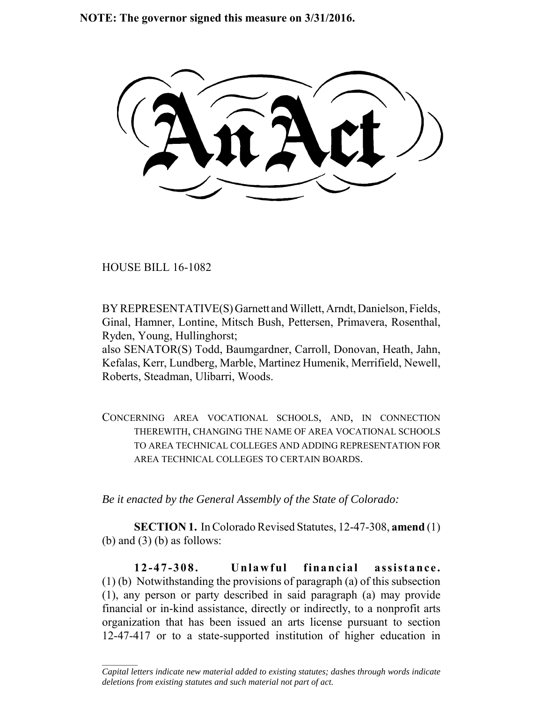**NOTE: The governor signed this measure on 3/31/2016.**

HOUSE BILL 16-1082

 $\frac{1}{2}$ 

BY REPRESENTATIVE(S) Garnett and Willett, Arndt, Danielson, Fields, Ginal, Hamner, Lontine, Mitsch Bush, Pettersen, Primavera, Rosenthal, Ryden, Young, Hullinghorst;

also SENATOR(S) Todd, Baumgardner, Carroll, Donovan, Heath, Jahn, Kefalas, Kerr, Lundberg, Marble, Martinez Humenik, Merrifield, Newell, Roberts, Steadman, Ulibarri, Woods.

CONCERNING AREA VOCATIONAL SCHOOLS, AND, IN CONNECTION THEREWITH, CHANGING THE NAME OF AREA VOCATIONAL SCHOOLS TO AREA TECHNICAL COLLEGES AND ADDING REPRESENTATION FOR AREA TECHNICAL COLLEGES TO CERTAIN BOARDS.

*Be it enacted by the General Assembly of the State of Colorado:*

**SECTION 1.** In Colorado Revised Statutes, 12-47-308, **amend** (1) (b) and  $(3)$  (b) as follows:

**12-47-308. Unlawful financial assistance.** (1) (b) Notwithstanding the provisions of paragraph (a) of this subsection (1), any person or party described in said paragraph (a) may provide financial or in-kind assistance, directly or indirectly, to a nonprofit arts organization that has been issued an arts license pursuant to section 12-47-417 or to a state-supported institution of higher education in

*Capital letters indicate new material added to existing statutes; dashes through words indicate deletions from existing statutes and such material not part of act.*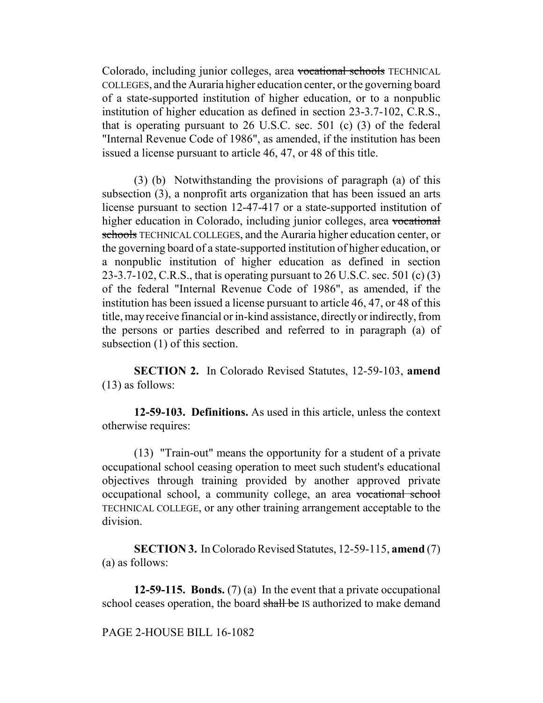Colorado, including junior colleges, area vocational schools TECHNICAL COLLEGES, and the Auraria higher education center, or the governing board of a state-supported institution of higher education, or to a nonpublic institution of higher education as defined in section 23-3.7-102, C.R.S., that is operating pursuant to 26 U.S.C. sec. 501 (c) (3) of the federal "Internal Revenue Code of 1986", as amended, if the institution has been issued a license pursuant to article 46, 47, or 48 of this title.

(3) (b) Notwithstanding the provisions of paragraph (a) of this subsection (3), a nonprofit arts organization that has been issued an arts license pursuant to section 12-47-417 or a state-supported institution of higher education in Colorado, including junior colleges, area vocational schools TECHNICAL COLLEGES, and the Auraria higher education center, or the governing board of a state-supported institution of higher education, or a nonpublic institution of higher education as defined in section 23-3.7-102, C.R.S., that is operating pursuant to  $26$  U.S.C. sec. 501 (c) (3) of the federal "Internal Revenue Code of 1986", as amended, if the institution has been issued a license pursuant to article 46, 47, or 48 of this title, may receive financial or in-kind assistance, directly or indirectly, from the persons or parties described and referred to in paragraph (a) of subsection (1) of this section.

**SECTION 2.** In Colorado Revised Statutes, 12-59-103, **amend** (13) as follows:

**12-59-103. Definitions.** As used in this article, unless the context otherwise requires:

(13) "Train-out" means the opportunity for a student of a private occupational school ceasing operation to meet such student's educational objectives through training provided by another approved private occupational school, a community college, an area vocational school TECHNICAL COLLEGE, or any other training arrangement acceptable to the division.

**SECTION 3.** In Colorado Revised Statutes, 12-59-115, **amend** (7) (a) as follows:

**12-59-115. Bonds.** (7) (a) In the event that a private occupational school ceases operation, the board shall be IS authorized to make demand

PAGE 2-HOUSE BILL 16-1082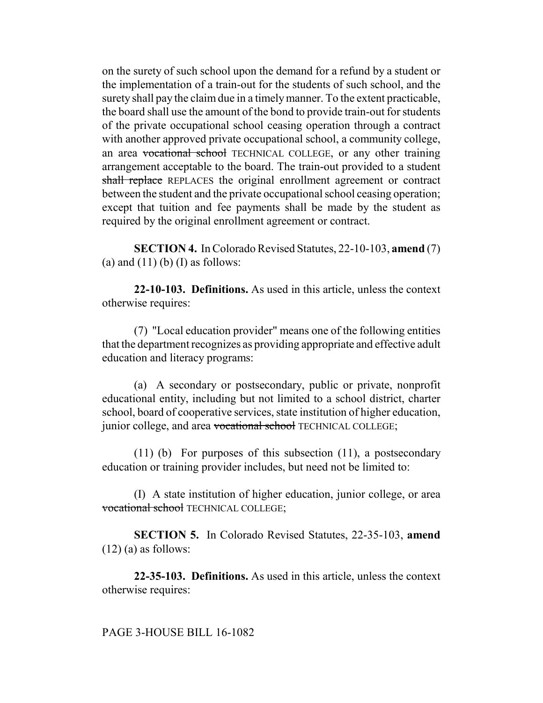on the surety of such school upon the demand for a refund by a student or the implementation of a train-out for the students of such school, and the surety shall pay the claim due in a timely manner. To the extent practicable, the board shall use the amount of the bond to provide train-out for students of the private occupational school ceasing operation through a contract with another approved private occupational school, a community college, an area vocational school TECHNICAL COLLEGE, or any other training arrangement acceptable to the board. The train-out provided to a student shall replace REPLACES the original enrollment agreement or contract between the student and the private occupational school ceasing operation; except that tuition and fee payments shall be made by the student as required by the original enrollment agreement or contract.

**SECTION 4.** In Colorado Revised Statutes, 22-10-103, **amend** (7) (a) and  $(11)$  (b) (I) as follows:

**22-10-103. Definitions.** As used in this article, unless the context otherwise requires:

(7) "Local education provider" means one of the following entities that the department recognizes as providing appropriate and effective adult education and literacy programs:

(a) A secondary or postsecondary, public or private, nonprofit educational entity, including but not limited to a school district, charter school, board of cooperative services, state institution of higher education, junior college, and area vocational school TECHNICAL COLLEGE;

(11) (b) For purposes of this subsection (11), a postsecondary education or training provider includes, but need not be limited to:

(I) A state institution of higher education, junior college, or area vocational school TECHNICAL COLLEGE;

**SECTION 5.** In Colorado Revised Statutes, 22-35-103, **amend**  $(12)$  (a) as follows:

**22-35-103. Definitions.** As used in this article, unless the context otherwise requires:

#### PAGE 3-HOUSE BILL 16-1082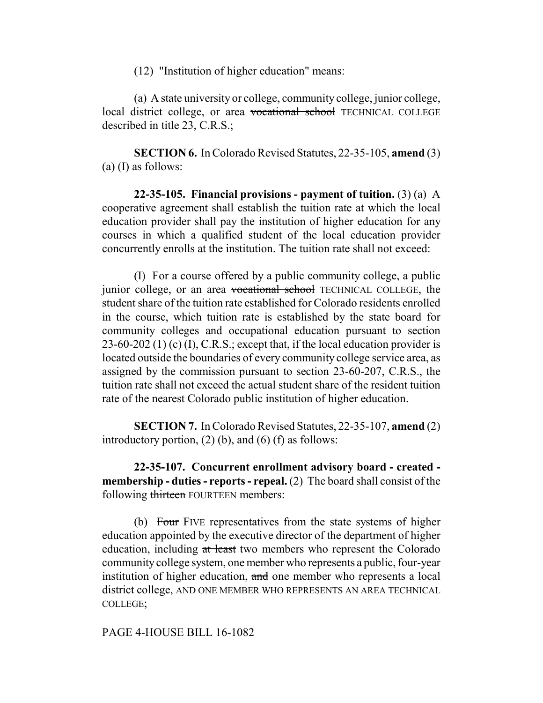(12) "Institution of higher education" means:

(a) A state university or college, community college, junior college, local district college, or area vocational school TECHNICAL COLLEGE described in title 23, C.R.S.;

**SECTION 6.** In Colorado Revised Statutes, 22-35-105, **amend** (3) (a) (I) as follows:

**22-35-105. Financial provisions - payment of tuition.** (3) (a) A cooperative agreement shall establish the tuition rate at which the local education provider shall pay the institution of higher education for any courses in which a qualified student of the local education provider concurrently enrolls at the institution. The tuition rate shall not exceed:

(I) For a course offered by a public community college, a public junior college, or an area vocational school TECHNICAL COLLEGE, the student share of the tuition rate established for Colorado residents enrolled in the course, which tuition rate is established by the state board for community colleges and occupational education pursuant to section 23-60-202 (1) (c) (I), C.R.S.; except that, if the local education provider is located outside the boundaries of every community college service area, as assigned by the commission pursuant to section 23-60-207, C.R.S., the tuition rate shall not exceed the actual student share of the resident tuition rate of the nearest Colorado public institution of higher education.

**SECTION 7.** In Colorado Revised Statutes, 22-35-107, **amend** (2) introductory portion,  $(2)$  (b), and  $(6)$  (f) as follows:

**22-35-107. Concurrent enrollment advisory board - created membership - duties - reports - repeal.** (2) The board shall consist of the following thirteen FOURTEEN members:

(b) Four FIVE representatives from the state systems of higher education appointed by the executive director of the department of higher education, including at least two members who represent the Colorado community college system, one member who represents a public, four-year institution of higher education, and one member who represents a local district college, AND ONE MEMBER WHO REPRESENTS AN AREA TECHNICAL COLLEGE;

## PAGE 4-HOUSE BILL 16-1082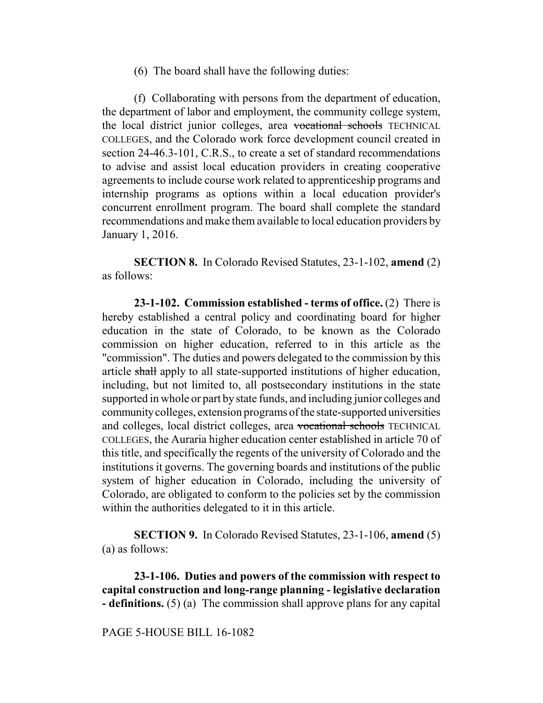(6) The board shall have the following duties:

(f) Collaborating with persons from the department of education, the department of labor and employment, the community college system, the local district junior colleges, area vocational schools TECHNICAL COLLEGES, and the Colorado work force development council created in section 24-46.3-101, C.R.S., to create a set of standard recommendations to advise and assist local education providers in creating cooperative agreements to include course work related to apprenticeship programs and internship programs as options within a local education provider's concurrent enrollment program. The board shall complete the standard recommendations and make them available to local education providers by January 1, 2016.

**SECTION 8.** In Colorado Revised Statutes, 23-1-102, **amend** (2) as follows:

**23-1-102. Commission established - terms of office.** (2) There is hereby established a central policy and coordinating board for higher education in the state of Colorado, to be known as the Colorado commission on higher education, referred to in this article as the "commission". The duties and powers delegated to the commission by this article shall apply to all state-supported institutions of higher education, including, but not limited to, all postsecondary institutions in the state supported in whole or part by state funds, and including junior colleges and community colleges, extension programs of the state-supported universities and colleges, local district colleges, area vocational schools TECHNICAL COLLEGES, the Auraria higher education center established in article 70 of this title, and specifically the regents of the university of Colorado and the institutions it governs. The governing boards and institutions of the public system of higher education in Colorado, including the university of Colorado, are obligated to conform to the policies set by the commission within the authorities delegated to it in this article.

**SECTION 9.** In Colorado Revised Statutes, 23-1-106, **amend** (5) (a) as follows:

**23-1-106. Duties and powers of the commission with respect to capital construction and long-range planning - legislative declaration - definitions.** (5) (a) The commission shall approve plans for any capital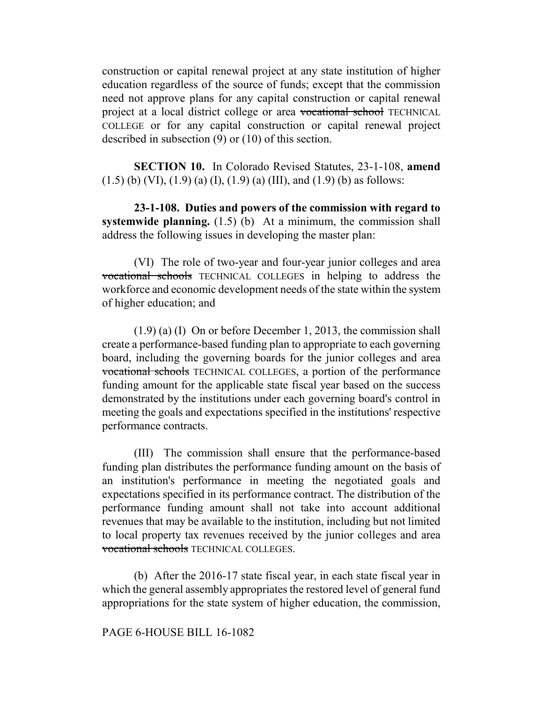construction or capital renewal project at any state institution of higher education regardless of the source of funds; except that the commission need not approve plans for any capital construction or capital renewal project at a local district college or area vocational school TECHNICAL COLLEGE or for any capital construction or capital renewal project described in subsection (9) or (10) of this section.

**SECTION 10.** In Colorado Revised Statutes, 23-1-108, **amend** (1.5) (b) (VI), (1.9) (a) (I), (1.9) (a) (III), and (1.9) (b) as follows:

**23-1-108. Duties and powers of the commission with regard to systemwide planning.** (1.5) (b) At a minimum, the commission shall address the following issues in developing the master plan:

(VI) The role of two-year and four-year junior colleges and area vocational schools TECHNICAL COLLEGES in helping to address the workforce and economic development needs of the state within the system of higher education; and

(1.9) (a) (I) On or before December 1, 2013, the commission shall create a performance-based funding plan to appropriate to each governing board, including the governing boards for the junior colleges and area vocational schools TECHNICAL COLLEGES, a portion of the performance funding amount for the applicable state fiscal year based on the success demonstrated by the institutions under each governing board's control in meeting the goals and expectations specified in the institutions' respective performance contracts.

(III) The commission shall ensure that the performance-based funding plan distributes the performance funding amount on the basis of an institution's performance in meeting the negotiated goals and expectations specified in its performance contract. The distribution of the performance funding amount shall not take into account additional revenues that may be available to the institution, including but not limited to local property tax revenues received by the junior colleges and area vocational schools TECHNICAL COLLEGES.

(b) After the 2016-17 state fiscal year, in each state fiscal year in which the general assembly appropriates the restored level of general fund appropriations for the state system of higher education, the commission,

### PAGE 6-HOUSE BILL 16-1082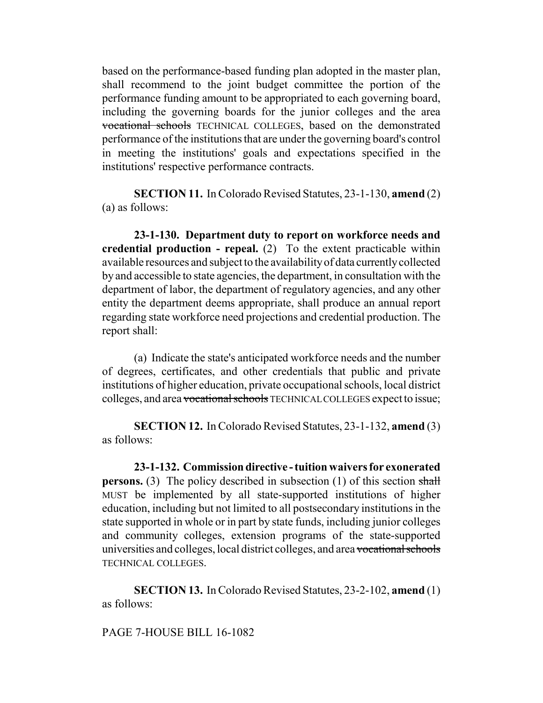based on the performance-based funding plan adopted in the master plan, shall recommend to the joint budget committee the portion of the performance funding amount to be appropriated to each governing board, including the governing boards for the junior colleges and the area vocational schools TECHNICAL COLLEGES, based on the demonstrated performance of the institutions that are under the governing board's control in meeting the institutions' goals and expectations specified in the institutions' respective performance contracts.

**SECTION 11.** In Colorado Revised Statutes, 23-1-130, **amend** (2) (a) as follows:

**23-1-130. Department duty to report on workforce needs and credential production - repeal.** (2) To the extent practicable within available resources and subject to the availability of data currently collected by and accessible to state agencies, the department, in consultation with the department of labor, the department of regulatory agencies, and any other entity the department deems appropriate, shall produce an annual report regarding state workforce need projections and credential production. The report shall:

(a) Indicate the state's anticipated workforce needs and the number of degrees, certificates, and other credentials that public and private institutions of higher education, private occupational schools, local district colleges, and area vocational schools TECHNICAL COLLEGES expect to issue;

**SECTION 12.** In Colorado Revised Statutes, 23-1-132, **amend** (3) as follows:

**23-1-132. Commission directive - tuition waivers for exonerated persons.** (3) The policy described in subsection (1) of this section shall MUST be implemented by all state-supported institutions of higher education, including but not limited to all postsecondary institutions in the state supported in whole or in part by state funds, including junior colleges and community colleges, extension programs of the state-supported universities and colleges, local district colleges, and area vocational schools TECHNICAL COLLEGES.

**SECTION 13.** In Colorado Revised Statutes, 23-2-102, **amend** (1) as follows:

PAGE 7-HOUSE BILL 16-1082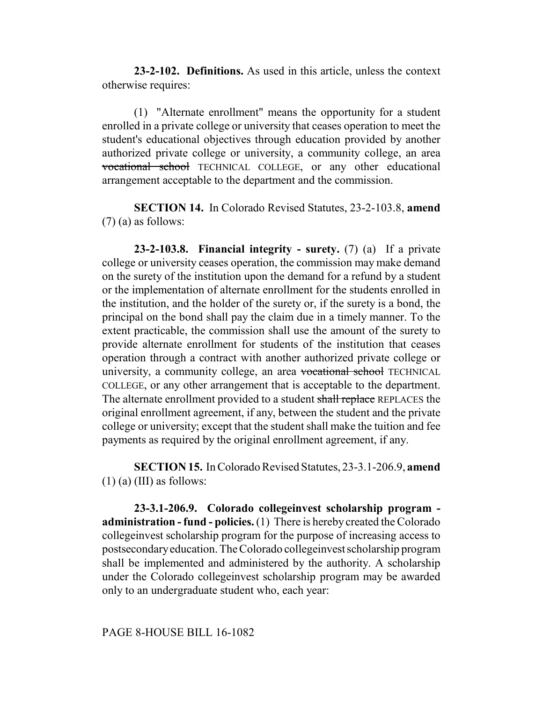**23-2-102. Definitions.** As used in this article, unless the context otherwise requires:

(1) "Alternate enrollment" means the opportunity for a student enrolled in a private college or university that ceases operation to meet the student's educational objectives through education provided by another authorized private college or university, a community college, an area vocational school TECHNICAL COLLEGE, or any other educational arrangement acceptable to the department and the commission.

**SECTION 14.** In Colorado Revised Statutes, 23-2-103.8, **amend** (7) (a) as follows:

**23-2-103.8. Financial integrity - surety.** (7) (a) If a private college or university ceases operation, the commission may make demand on the surety of the institution upon the demand for a refund by a student or the implementation of alternate enrollment for the students enrolled in the institution, and the holder of the surety or, if the surety is a bond, the principal on the bond shall pay the claim due in a timely manner. To the extent practicable, the commission shall use the amount of the surety to provide alternate enrollment for students of the institution that ceases operation through a contract with another authorized private college or university, a community college, an area vocational school TECHNICAL COLLEGE, or any other arrangement that is acceptable to the department. The alternate enrollment provided to a student shall replace REPLACES the original enrollment agreement, if any, between the student and the private college or university; except that the student shall make the tuition and fee payments as required by the original enrollment agreement, if any.

**SECTION 15.** In Colorado Revised Statutes, 23-3.1-206.9, **amend**  $(1)$  (a) (III) as follows:

**23-3.1-206.9. Colorado collegeinvest scholarship program administration - fund - policies.** (1) There is hereby created the Colorado collegeinvest scholarship program for the purpose of increasing access to postsecondary education. The Colorado collegeinvest scholarship program shall be implemented and administered by the authority. A scholarship under the Colorado collegeinvest scholarship program may be awarded only to an undergraduate student who, each year:

#### PAGE 8-HOUSE BILL 16-1082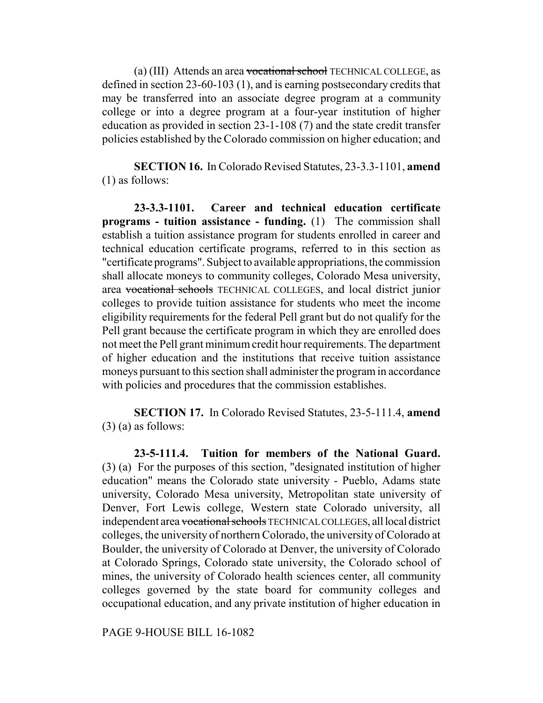(a) (III) Attends an area vocational school TECHNICAL COLLEGE, as defined in section 23-60-103 (1), and is earning postsecondary credits that may be transferred into an associate degree program at a community college or into a degree program at a four-year institution of higher education as provided in section 23-1-108 (7) and the state credit transfer policies established by the Colorado commission on higher education; and

**SECTION 16.** In Colorado Revised Statutes, 23-3.3-1101, **amend** (1) as follows:

**23-3.3-1101. Career and technical education certificate programs - tuition assistance - funding.** (1) The commission shall establish a tuition assistance program for students enrolled in career and technical education certificate programs, referred to in this section as "certificate programs". Subject to available appropriations, the commission shall allocate moneys to community colleges, Colorado Mesa university, area vocational schools TECHNICAL COLLEGES, and local district junior colleges to provide tuition assistance for students who meet the income eligibility requirements for the federal Pell grant but do not qualify for the Pell grant because the certificate program in which they are enrolled does not meet the Pell grant minimum credit hour requirements. The department of higher education and the institutions that receive tuition assistance moneys pursuant to this section shall administer the program in accordance with policies and procedures that the commission establishes.

**SECTION 17.** In Colorado Revised Statutes, 23-5-111.4, **amend** (3) (a) as follows:

**23-5-111.4. Tuition for members of the National Guard.** (3) (a) For the purposes of this section, "designated institution of higher education" means the Colorado state university - Pueblo, Adams state university, Colorado Mesa university, Metropolitan state university of Denver, Fort Lewis college, Western state Colorado university, all independent area vocational schools TECHNICAL COLLEGES, all local district colleges, the university of northern Colorado, the university of Colorado at Boulder, the university of Colorado at Denver, the university of Colorado at Colorado Springs, Colorado state university, the Colorado school of mines, the university of Colorado health sciences center, all community colleges governed by the state board for community colleges and occupational education, and any private institution of higher education in

PAGE 9-HOUSE BILL 16-1082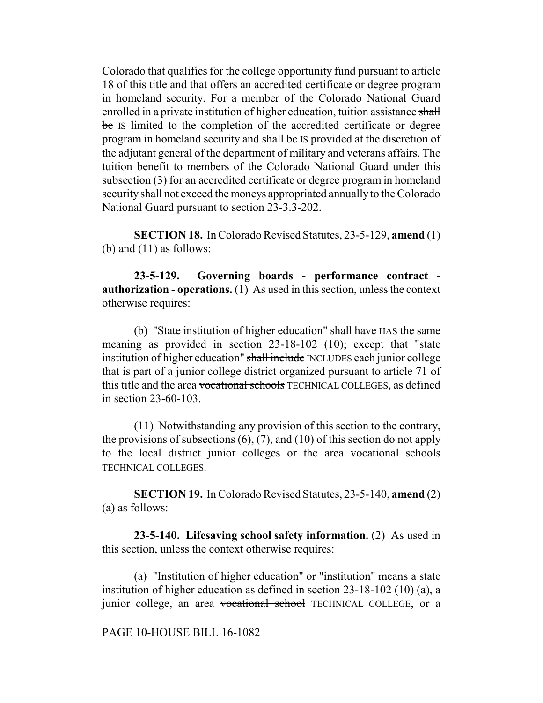Colorado that qualifies for the college opportunity fund pursuant to article 18 of this title and that offers an accredited certificate or degree program in homeland security. For a member of the Colorado National Guard enrolled in a private institution of higher education, tuition assistance shall be IS limited to the completion of the accredited certificate or degree program in homeland security and shall be IS provided at the discretion of the adjutant general of the department of military and veterans affairs. The tuition benefit to members of the Colorado National Guard under this subsection (3) for an accredited certificate or degree program in homeland security shall not exceed the moneys appropriated annually to the Colorado National Guard pursuant to section 23-3.3-202.

**SECTION 18.** In Colorado Revised Statutes, 23-5-129, **amend** (1) (b) and (11) as follows:

**23-5-129. Governing boards - performance contract authorization - operations.** (1) As used in this section, unless the context otherwise requires:

(b) "State institution of higher education" shall have HAS the same meaning as provided in section 23-18-102 (10); except that "state institution of higher education" shall include INCLUDES each junior college that is part of a junior college district organized pursuant to article 71 of this title and the area vocational schools TECHNICAL COLLEGES, as defined in section 23-60-103.

(11) Notwithstanding any provision of this section to the contrary, the provisions of subsections  $(6)$ ,  $(7)$ , and  $(10)$  of this section do not apply to the local district junior colleges or the area vocational schools TECHNICAL COLLEGES.

**SECTION 19.** In Colorado Revised Statutes, 23-5-140, **amend** (2) (a) as follows:

**23-5-140. Lifesaving school safety information.** (2) As used in this section, unless the context otherwise requires:

(a) "Institution of higher education" or "institution" means a state institution of higher education as defined in section 23-18-102 (10) (a), a junior college, an area vocational school TECHNICAL COLLEGE, or a

## PAGE 10-HOUSE BILL 16-1082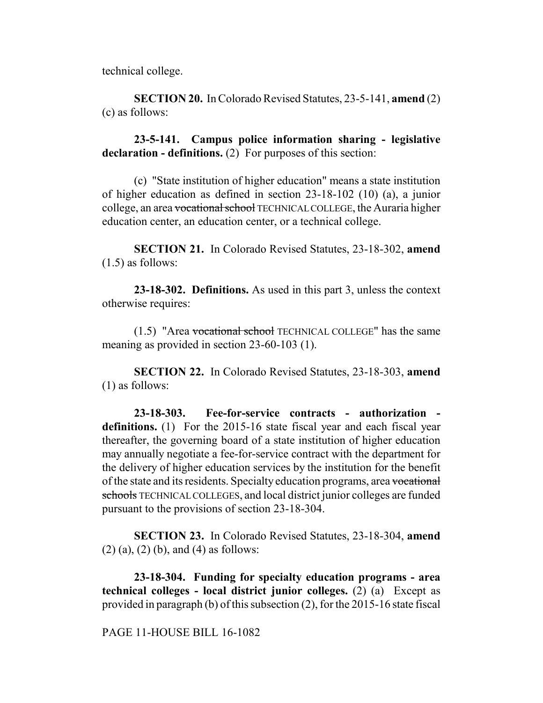technical college.

**SECTION 20.** In Colorado Revised Statutes, 23-5-141, **amend** (2) (c) as follows:

**23-5-141. Campus police information sharing - legislative declaration - definitions.** (2) For purposes of this section:

(c) "State institution of higher education" means a state institution of higher education as defined in section 23-18-102 (10) (a), a junior college, an area vocational school TECHNICAL COLLEGE, the Auraria higher education center, an education center, or a technical college.

**SECTION 21.** In Colorado Revised Statutes, 23-18-302, **amend** (1.5) as follows:

**23-18-302. Definitions.** As used in this part 3, unless the context otherwise requires:

(1.5) "Area vocational school TECHNICAL COLLEGE" has the same meaning as provided in section 23-60-103 (1).

**SECTION 22.** In Colorado Revised Statutes, 23-18-303, **amend** (1) as follows:

**23-18-303. Fee-for-service contracts - authorization**  definitions. (1) For the 2015-16 state fiscal year and each fiscal year thereafter, the governing board of a state institution of higher education may annually negotiate a fee-for-service contract with the department for the delivery of higher education services by the institution for the benefit of the state and its residents. Specialty education programs, area vocational schools TECHNICAL COLLEGES, and local district junior colleges are funded pursuant to the provisions of section 23-18-304.

**SECTION 23.** In Colorado Revised Statutes, 23-18-304, **amend**  $(2)$  (a), (2) (b), and (4) as follows:

**23-18-304. Funding for specialty education programs - area technical colleges - local district junior colleges.** (2) (a) Except as provided in paragraph (b) of this subsection (2), for the 2015-16 state fiscal

PAGE 11-HOUSE BILL 16-1082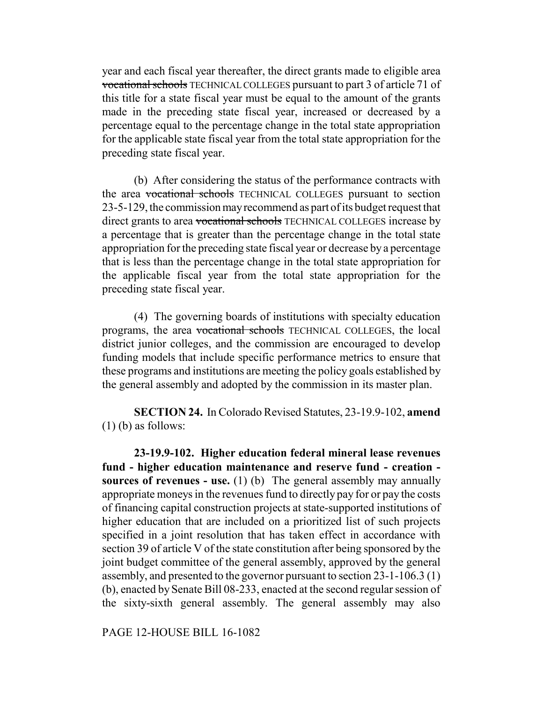year and each fiscal year thereafter, the direct grants made to eligible area vocational schools TECHNICAL COLLEGES pursuant to part 3 of article 71 of this title for a state fiscal year must be equal to the amount of the grants made in the preceding state fiscal year, increased or decreased by a percentage equal to the percentage change in the total state appropriation for the applicable state fiscal year from the total state appropriation for the preceding state fiscal year.

(b) After considering the status of the performance contracts with the area vocational schools TECHNICAL COLLEGES pursuant to section 23-5-129, the commission may recommend as part of its budget request that direct grants to area vocational schools TECHNICAL COLLEGES increase by a percentage that is greater than the percentage change in the total state appropriation for the preceding state fiscal year or decrease by a percentage that is less than the percentage change in the total state appropriation for the applicable fiscal year from the total state appropriation for the preceding state fiscal year.

(4) The governing boards of institutions with specialty education programs, the area vocational schools TECHNICAL COLLEGES, the local district junior colleges, and the commission are encouraged to develop funding models that include specific performance metrics to ensure that these programs and institutions are meeting the policy goals established by the general assembly and adopted by the commission in its master plan.

**SECTION 24.** In Colorado Revised Statutes, 23-19.9-102, **amend**  $(1)$  (b) as follows:

**23-19.9-102. Higher education federal mineral lease revenues fund - higher education maintenance and reserve fund - creation sources of revenues - use.** (1) (b) The general assembly may annually appropriate moneys in the revenues fund to directly pay for or pay the costs of financing capital construction projects at state-supported institutions of higher education that are included on a prioritized list of such projects specified in a joint resolution that has taken effect in accordance with section 39 of article V of the state constitution after being sponsored by the joint budget committee of the general assembly, approved by the general assembly, and presented to the governor pursuant to section 23-1-106.3 (1) (b), enacted by Senate Bill 08-233, enacted at the second regular session of the sixty-sixth general assembly. The general assembly may also

PAGE 12-HOUSE BILL 16-1082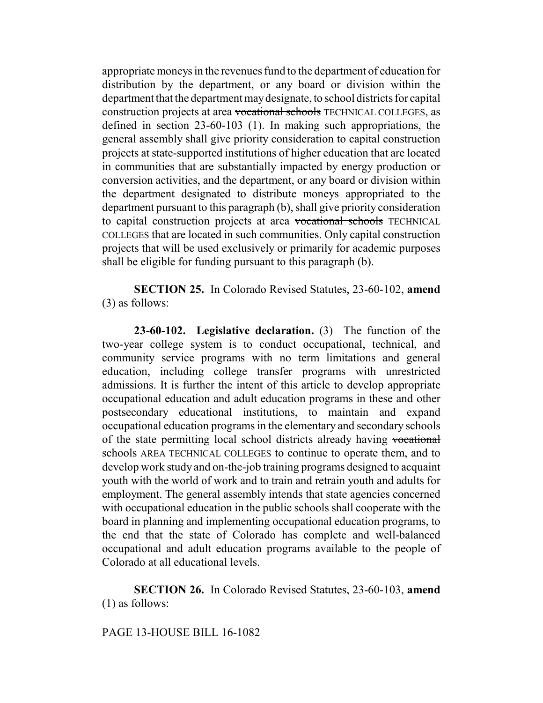appropriate moneys in the revenues fund to the department of education for distribution by the department, or any board or division within the department that the department may designate, to school districts for capital construction projects at area vocational schools TECHNICAL COLLEGES, as defined in section 23-60-103 (1). In making such appropriations, the general assembly shall give priority consideration to capital construction projects at state-supported institutions of higher education that are located in communities that are substantially impacted by energy production or conversion activities, and the department, or any board or division within the department designated to distribute moneys appropriated to the department pursuant to this paragraph (b), shall give priority consideration to capital construction projects at area vocational schools TECHNICAL COLLEGES that are located in such communities. Only capital construction projects that will be used exclusively or primarily for academic purposes shall be eligible for funding pursuant to this paragraph (b).

**SECTION 25.** In Colorado Revised Statutes, 23-60-102, **amend** (3) as follows:

**23-60-102. Legislative declaration.** (3) The function of the two-year college system is to conduct occupational, technical, and community service programs with no term limitations and general education, including college transfer programs with unrestricted admissions. It is further the intent of this article to develop appropriate occupational education and adult education programs in these and other postsecondary educational institutions, to maintain and expand occupational education programs in the elementary and secondary schools of the state permitting local school districts already having vocational schools AREA TECHNICAL COLLEGES to continue to operate them, and to develop work study and on-the-job training programs designed to acquaint youth with the world of work and to train and retrain youth and adults for employment. The general assembly intends that state agencies concerned with occupational education in the public schools shall cooperate with the board in planning and implementing occupational education programs, to the end that the state of Colorado has complete and well-balanced occupational and adult education programs available to the people of Colorado at all educational levels.

**SECTION 26.** In Colorado Revised Statutes, 23-60-103, **amend** (1) as follows:

# PAGE 13-HOUSE BILL 16-1082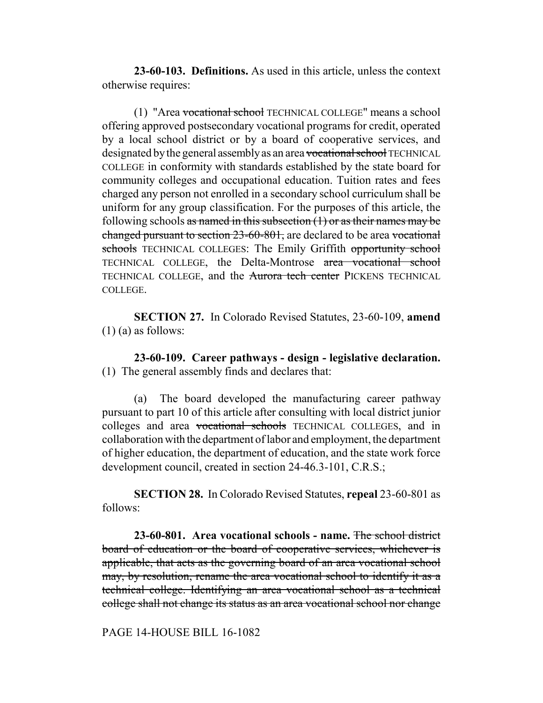**23-60-103. Definitions.** As used in this article, unless the context otherwise requires:

(1) "Area vocational school TECHNICAL COLLEGE" means a school offering approved postsecondary vocational programs for credit, operated by a local school district or by a board of cooperative services, and designated by the general assembly as an area vocational school TECHNICAL COLLEGE in conformity with standards established by the state board for community colleges and occupational education. Tuition rates and fees charged any person not enrolled in a secondary school curriculum shall be uniform for any group classification. For the purposes of this article, the following schools as named in this subsection  $(1)$  or as their names may be changed pursuant to section 23-60-801, are declared to be area vocational schools TECHNICAL COLLEGES: The Emily Griffith opportunity school TECHNICAL COLLEGE, the Delta-Montrose area vocational school TECHNICAL COLLEGE, and the Aurora tech center PICKENS TECHNICAL COLLEGE.

**SECTION 27.** In Colorado Revised Statutes, 23-60-109, **amend**  $(1)$  (a) as follows:

**23-60-109. Career pathways - design - legislative declaration.** (1) The general assembly finds and declares that:

(a) The board developed the manufacturing career pathway pursuant to part 10 of this article after consulting with local district junior colleges and area vocational schools TECHNICAL COLLEGES, and in collaboration with the department of labor and employment, the department of higher education, the department of education, and the state work force development council, created in section 24-46.3-101, C.R.S.;

**SECTION 28.** In Colorado Revised Statutes, **repeal** 23-60-801 as follows:

**23-60-801. Area vocational schools - name.** The school district board of education or the board of cooperative services, whichever is applicable, that acts as the governing board of an area vocational school may, by resolution, rename the area vocational school to identify it as a technical college. Identifying an area vocational school as a technical college shall not change its status as an area vocational school nor change

PAGE 14-HOUSE BILL 16-1082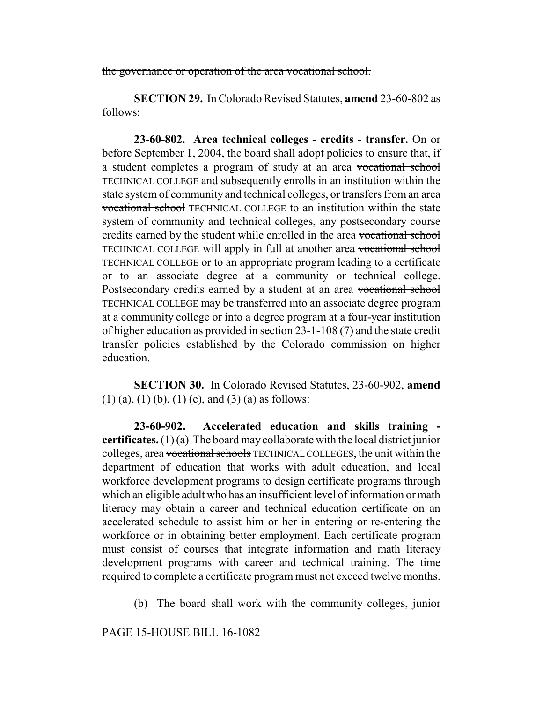the governance or operation of the area vocational school.

**SECTION 29.** In Colorado Revised Statutes, **amend** 23-60-802 as follows:

**23-60-802. Area technical colleges - credits - transfer.** On or before September 1, 2004, the board shall adopt policies to ensure that, if a student completes a program of study at an area vocational school TECHNICAL COLLEGE and subsequently enrolls in an institution within the state system of community and technical colleges, or transfers from an area vocational school TECHNICAL COLLEGE to an institution within the state system of community and technical colleges, any postsecondary course credits earned by the student while enrolled in the area vocational school TECHNICAL COLLEGE will apply in full at another area vocational school TECHNICAL COLLEGE or to an appropriate program leading to a certificate or to an associate degree at a community or technical college. Postsecondary credits earned by a student at an area vocational school TECHNICAL COLLEGE may be transferred into an associate degree program at a community college or into a degree program at a four-year institution of higher education as provided in section 23-1-108 (7) and the state credit transfer policies established by the Colorado commission on higher education.

**SECTION 30.** In Colorado Revised Statutes, 23-60-902, **amend**  $(1)$  (a), (1) (b), (1) (c), and (3) (a) as follows:

**23-60-902. Accelerated education and skills training certificates.** (1) (a) The board may collaborate with the local district junior colleges, area vocational schools TECHNICAL COLLEGES, the unit within the department of education that works with adult education, and local workforce development programs to design certificate programs through which an eligible adult who has an insufficient level of information or math literacy may obtain a career and technical education certificate on an accelerated schedule to assist him or her in entering or re-entering the workforce or in obtaining better employment. Each certificate program must consist of courses that integrate information and math literacy development programs with career and technical training. The time required to complete a certificate program must not exceed twelve months.

(b) The board shall work with the community colleges, junior

PAGE 15-HOUSE BILL 16-1082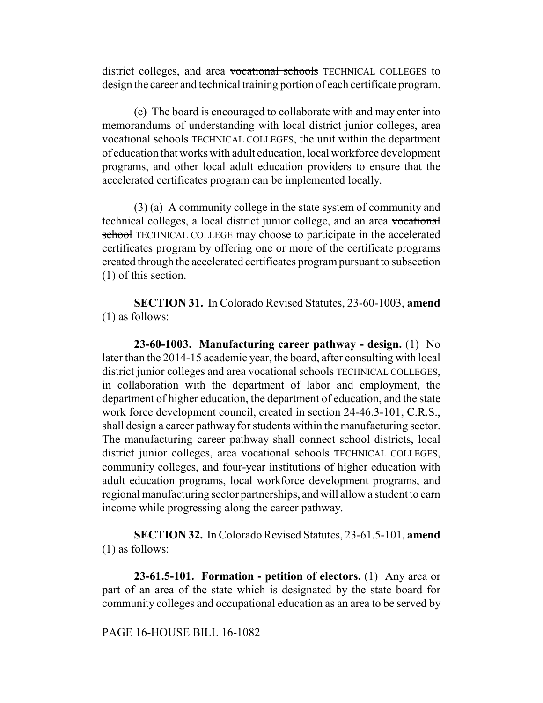district colleges, and area vocational schools TECHNICAL COLLEGES to design the career and technical training portion of each certificate program.

(c) The board is encouraged to collaborate with and may enter into memorandums of understanding with local district junior colleges, area vocational schools TECHNICAL COLLEGES, the unit within the department of education that works with adult education, local workforce development programs, and other local adult education providers to ensure that the accelerated certificates program can be implemented locally.

(3) (a) A community college in the state system of community and technical colleges, a local district junior college, and an area vocational school TECHNICAL COLLEGE may choose to participate in the accelerated certificates program by offering one or more of the certificate programs created through the accelerated certificates program pursuant to subsection (1) of this section.

**SECTION 31.** In Colorado Revised Statutes, 23-60-1003, **amend** (1) as follows:

**23-60-1003. Manufacturing career pathway - design.** (1) No later than the 2014-15 academic year, the board, after consulting with local district junior colleges and area vocational schools TECHNICAL COLLEGES, in collaboration with the department of labor and employment, the department of higher education, the department of education, and the state work force development council, created in section 24-46.3-101, C.R.S., shall design a career pathway for students within the manufacturing sector. The manufacturing career pathway shall connect school districts, local district junior colleges, area vocational schools TECHNICAL COLLEGES, community colleges, and four-year institutions of higher education with adult education programs, local workforce development programs, and regional manufacturing sector partnerships, and will allow a student to earn income while progressing along the career pathway.

**SECTION 32.** In Colorado Revised Statutes, 23-61.5-101, **amend** (1) as follows:

**23-61.5-101. Formation - petition of electors.** (1) Any area or part of an area of the state which is designated by the state board for community colleges and occupational education as an area to be served by

PAGE 16-HOUSE BILL 16-1082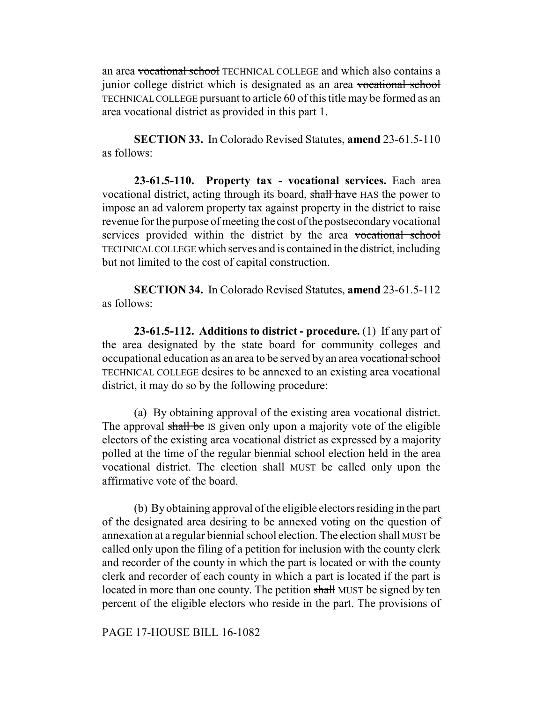an area vocational school TECHNICAL COLLEGE and which also contains a junior college district which is designated as an area vocational school TECHNICAL COLLEGE pursuant to article 60 of this title may be formed as an area vocational district as provided in this part 1.

**SECTION 33.** In Colorado Revised Statutes, **amend** 23-61.5-110 as follows:

**23-61.5-110. Property tax - vocational services.** Each area vocational district, acting through its board, shall have HAS the power to impose an ad valorem property tax against property in the district to raise revenue for the purpose of meeting the cost of the postsecondary vocational services provided within the district by the area vocational school TECHNICAL COLLEGE which serves and is contained in the district, including but not limited to the cost of capital construction.

**SECTION 34.** In Colorado Revised Statutes, **amend** 23-61.5-112 as follows:

**23-61.5-112. Additions to district - procedure.** (1) If any part of the area designated by the state board for community colleges and occupational education as an area to be served by an area vocational school TECHNICAL COLLEGE desires to be annexed to an existing area vocational district, it may do so by the following procedure:

(a) By obtaining approval of the existing area vocational district. The approval shall be IS given only upon a majority vote of the eligible electors of the existing area vocational district as expressed by a majority polled at the time of the regular biennial school election held in the area vocational district. The election shall MUST be called only upon the affirmative vote of the board.

(b) By obtaining approval of the eligible electors residing in the part of the designated area desiring to be annexed voting on the question of annexation at a regular biennial school election. The election shall MUST be called only upon the filing of a petition for inclusion with the county clerk and recorder of the county in which the part is located or with the county clerk and recorder of each county in which a part is located if the part is located in more than one county. The petition shall MUST be signed by ten percent of the eligible electors who reside in the part. The provisions of

#### PAGE 17-HOUSE BILL 16-1082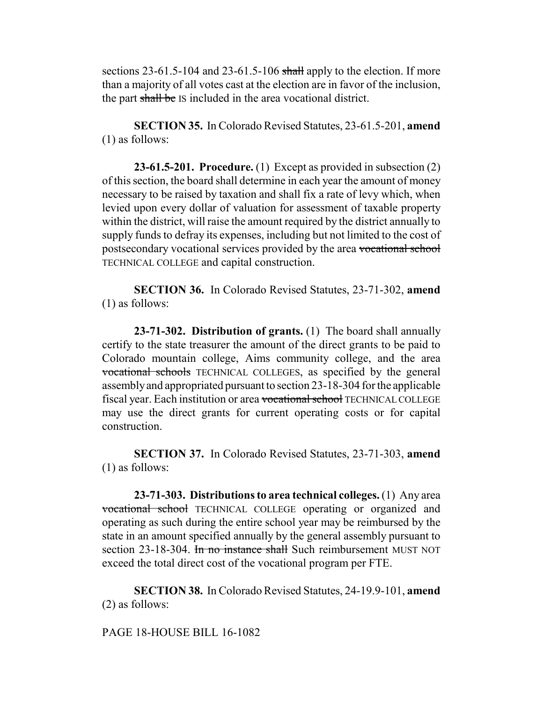sections 23-61.5-104 and 23-61.5-106 shall apply to the election. If more than a majority of all votes cast at the election are in favor of the inclusion, the part shall be IS included in the area vocational district.

**SECTION 35.** In Colorado Revised Statutes, 23-61.5-201, **amend** (1) as follows:

**23-61.5-201. Procedure.** (1) Except as provided in subsection (2) of this section, the board shall determine in each year the amount of money necessary to be raised by taxation and shall fix a rate of levy which, when levied upon every dollar of valuation for assessment of taxable property within the district, will raise the amount required by the district annually to supply funds to defray its expenses, including but not limited to the cost of postsecondary vocational services provided by the area vocational school TECHNICAL COLLEGE and capital construction.

**SECTION 36.** In Colorado Revised Statutes, 23-71-302, **amend** (1) as follows:

**23-71-302. Distribution of grants.** (1) The board shall annually certify to the state treasurer the amount of the direct grants to be paid to Colorado mountain college, Aims community college, and the area vocational schools TECHNICAL COLLEGES, as specified by the general assembly and appropriated pursuant to section 23-18-304 for the applicable fiscal year. Each institution or area vocational school TECHNICAL COLLEGE may use the direct grants for current operating costs or for capital construction.

**SECTION 37.** In Colorado Revised Statutes, 23-71-303, **amend** (1) as follows:

**23-71-303. Distributions to area technical colleges.** (1) Any area vocational school TECHNICAL COLLEGE operating or organized and operating as such during the entire school year may be reimbursed by the state in an amount specified annually by the general assembly pursuant to section 23-18-304. In no instance shall Such reimbursement MUST NOT exceed the total direct cost of the vocational program per FTE.

**SECTION 38.** In Colorado Revised Statutes, 24-19.9-101, **amend** (2) as follows:

# PAGE 18-HOUSE BILL 16-1082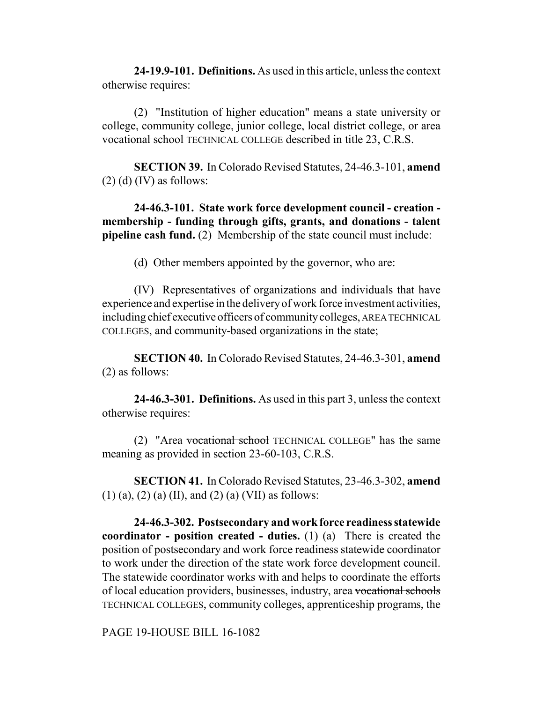**24-19.9-101. Definitions.** As used in this article, unless the context otherwise requires:

(2) "Institution of higher education" means a state university or college, community college, junior college, local district college, or area vocational school TECHNICAL COLLEGE described in title 23, C.R.S.

**SECTION 39.** In Colorado Revised Statutes, 24-46.3-101, **amend**  $(2)$  (d) (IV) as follows:

**24-46.3-101. State work force development council - creation membership - funding through gifts, grants, and donations - talent pipeline cash fund.** (2) Membership of the state council must include:

(d) Other members appointed by the governor, who are:

(IV) Representatives of organizations and individuals that have experience and expertise in the delivery of work force investment activities, including chief executive officers of community colleges, AREA TECHNICAL COLLEGES, and community-based organizations in the state;

**SECTION 40.** In Colorado Revised Statutes, 24-46.3-301, **amend** (2) as follows:

**24-46.3-301. Definitions.** As used in this part 3, unless the context otherwise requires:

(2) "Area vocational school TECHNICAL COLLEGE" has the same meaning as provided in section 23-60-103, C.R.S.

**SECTION 41.** In Colorado Revised Statutes, 23-46.3-302, **amend**  $(1)$  (a), (2) (a) (II), and (2) (a) (VII) as follows:

**24-46.3-302. Postsecondary and work force readiness statewide coordinator - position created - duties.** (1) (a) There is created the position of postsecondary and work force readiness statewide coordinator to work under the direction of the state work force development council. The statewide coordinator works with and helps to coordinate the efforts of local education providers, businesses, industry, area vocational schools TECHNICAL COLLEGES, community colleges, apprenticeship programs, the

PAGE 19-HOUSE BILL 16-1082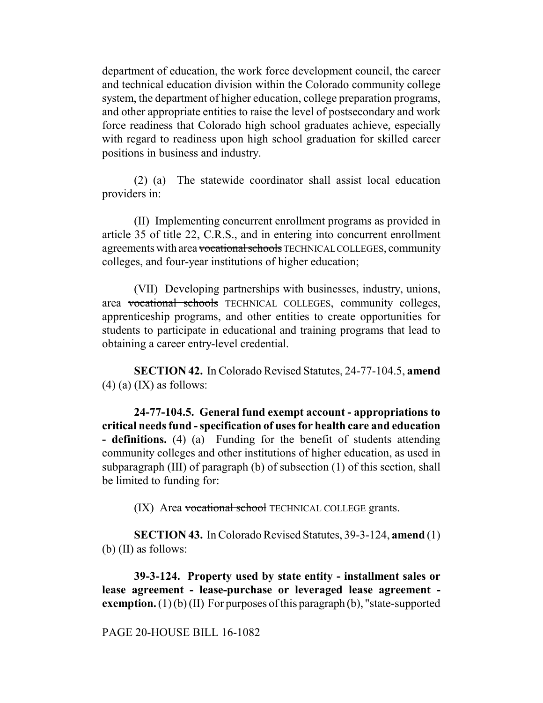department of education, the work force development council, the career and technical education division within the Colorado community college system, the department of higher education, college preparation programs, and other appropriate entities to raise the level of postsecondary and work force readiness that Colorado high school graduates achieve, especially with regard to readiness upon high school graduation for skilled career positions in business and industry.

(2) (a) The statewide coordinator shall assist local education providers in:

(II) Implementing concurrent enrollment programs as provided in article 35 of title 22, C.R.S., and in entering into concurrent enrollment agreements with area vocational schools TECHNICAL COLLEGES, community colleges, and four-year institutions of higher education;

(VII) Developing partnerships with businesses, industry, unions, area vocational schools TECHNICAL COLLEGES, community colleges, apprenticeship programs, and other entities to create opportunities for students to participate in educational and training programs that lead to obtaining a career entry-level credential.

**SECTION 42.** In Colorado Revised Statutes, 24-77-104.5, **amend**  $(4)$  (a) (IX) as follows:

**24-77-104.5. General fund exempt account - appropriations to critical needs fund - specification of uses for health care and education - definitions.** (4) (a) Funding for the benefit of students attending community colleges and other institutions of higher education, as used in subparagraph (III) of paragraph (b) of subsection (1) of this section, shall be limited to funding for:

(IX) Area vocational school TECHNICAL COLLEGE grants.

**SECTION 43.** In Colorado Revised Statutes, 39-3-124, **amend** (1) (b) (II) as follows:

**39-3-124. Property used by state entity - installment sales or lease agreement - lease-purchase or leveraged lease agreement exemption.** (1) (b) (II) For purposes of this paragraph (b), "state-supported

## PAGE 20-HOUSE BILL 16-1082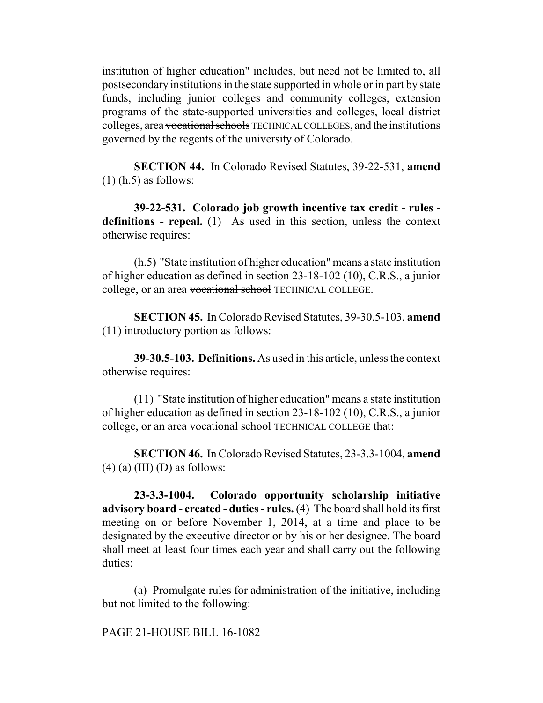institution of higher education" includes, but need not be limited to, all postsecondary institutions in the state supported in whole or in part by state funds, including junior colleges and community colleges, extension programs of the state-supported universities and colleges, local district colleges, area vocational schools TECHNICAL COLLEGES, and the institutions governed by the regents of the university of Colorado.

**SECTION 44.** In Colorado Revised Statutes, 39-22-531, **amend**  $(1)$  (h.5) as follows:

**39-22-531. Colorado job growth incentive tax credit - rules definitions - repeal.** (1) As used in this section, unless the context otherwise requires:

(h.5) "State institution of higher education" means a state institution of higher education as defined in section 23-18-102 (10), C.R.S., a junior college, or an area vocational school TECHNICAL COLLEGE.

**SECTION 45.** In Colorado Revised Statutes, 39-30.5-103, **amend** (11) introductory portion as follows:

**39-30.5-103. Definitions.** As used in this article, unless the context otherwise requires:

(11) "State institution of higher education" means a state institution of higher education as defined in section 23-18-102 (10), C.R.S., a junior college, or an area vocational school TECHNICAL COLLEGE that:

**SECTION 46.** In Colorado Revised Statutes, 23-3.3-1004, **amend**  $(4)$  (a) (III) (D) as follows:

**23-3.3-1004. Colorado opportunity scholarship initiative advisory board - created - duties - rules.** (4) The board shall hold its first meeting on or before November 1, 2014, at a time and place to be designated by the executive director or by his or her designee. The board shall meet at least four times each year and shall carry out the following duties:

(a) Promulgate rules for administration of the initiative, including but not limited to the following:

PAGE 21-HOUSE BILL 16-1082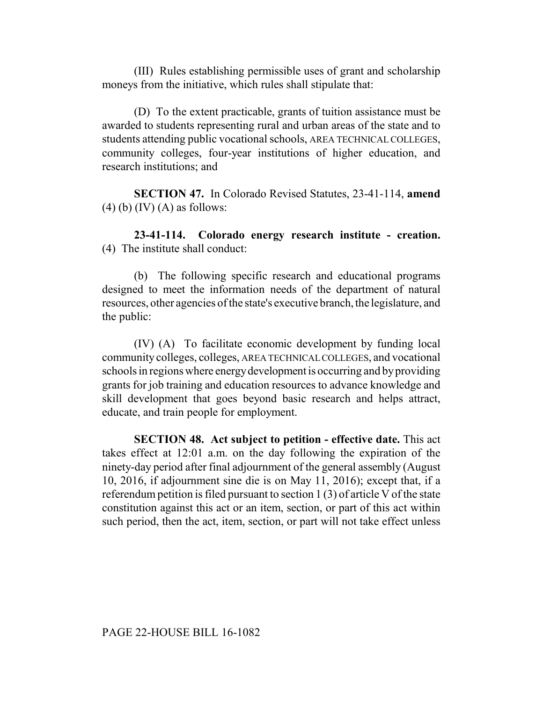(III) Rules establishing permissible uses of grant and scholarship moneys from the initiative, which rules shall stipulate that:

(D) To the extent practicable, grants of tuition assistance must be awarded to students representing rural and urban areas of the state and to students attending public vocational schools, AREA TECHNICAL COLLEGES, community colleges, four-year institutions of higher education, and research institutions; and

**SECTION 47.** In Colorado Revised Statutes, 23-41-114, **amend**  $(4)$  (b)  $(IV)$   $(A)$  as follows:

**23-41-114. Colorado energy research institute - creation.** (4) The institute shall conduct:

(b) The following specific research and educational programs designed to meet the information needs of the department of natural resources, other agencies of the state's executive branch, the legislature, and the public:

(IV) (A) To facilitate economic development by funding local community colleges, colleges, AREA TECHNICAL COLLEGES, and vocational schools in regions where energy development is occurring and by providing grants for job training and education resources to advance knowledge and skill development that goes beyond basic research and helps attract, educate, and train people for employment.

**SECTION 48. Act subject to petition - effective date.** This act takes effect at 12:01 a.m. on the day following the expiration of the ninety-day period after final adjournment of the general assembly (August 10, 2016, if adjournment sine die is on May 11, 2016); except that, if a referendum petition is filed pursuant to section 1 (3) of article V of the state constitution against this act or an item, section, or part of this act within such period, then the act, item, section, or part will not take effect unless